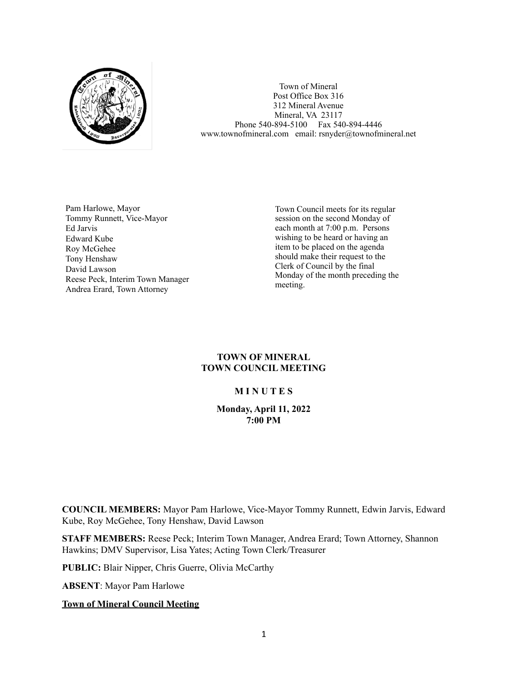

Town of Mineral Post Office Box 316 312 Mineral Avenue Mineral, VA 23117 Phone 540-894-5100 Fax 540-894-4446 www.townofmineral.com email: rsnyder@townofmineral.net

Pam Harlowe, Mayor Tommy Runnett, Vice-Mayor Ed Jarvis Edward Kube Roy McGehee Tony Henshaw David Lawson Reese Peck, Interim Town Manager Andrea Erard, Town Attorney

Town Council meets for its regular session on the second Monday of each month at 7:00 p.m. Persons wishing to be heard or having an item to be placed on the agenda should make their request to the Clerk of Council by the final Monday of the month preceding the meeting.

#### **TOWN OF MINERAL TOWN COUNCIL MEETING**

## **M I N U T E S**

#### **Monday, April 11, 2022 7:00 PM**

**COUNCIL MEMBERS:** Mayor Pam Harlowe, Vice-Mayor Tommy Runnett, Edwin Jarvis, Edward Kube, Roy McGehee, Tony Henshaw, David Lawson

**STAFF MEMBERS:** Reese Peck; Interim Town Manager, Andrea Erard; Town Attorney, Shannon Hawkins; DMV Supervisor, Lisa Yates; Acting Town Clerk/Treasurer

**PUBLIC:** Blair Nipper, Chris Guerre, Olivia McCarthy

**ABSENT**: Mayor Pam Harlowe

**Town of Mineral Council Meeting**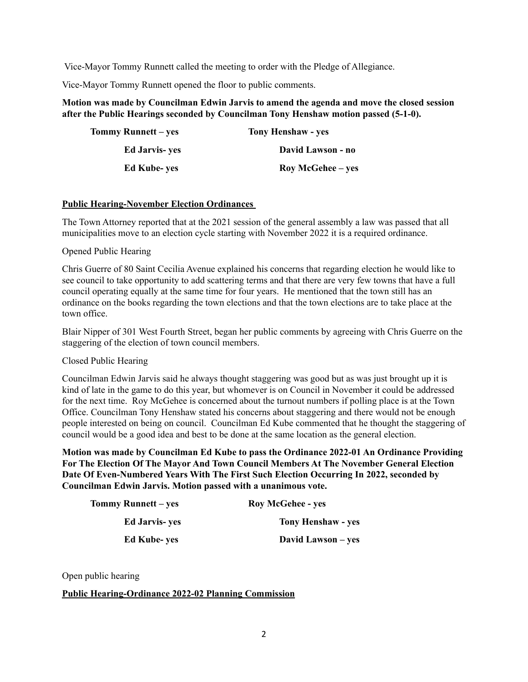Vice-Mayor Tommy Runnett called the meeting to order with the Pledge of Allegiance.

Vice-Mayor Tommy Runnett opened the floor to public comments.

## **Motion was made by Councilman Edwin Jarvis to amend the agenda and move the closed session after the Public Hearings seconded by Councilman Tony Henshaw motion passed (5-1-0).**

| Tommy Runnett – yes   | <b>Tony Henshaw - yes</b> |
|-----------------------|---------------------------|
| <b>Ed Jarvis- yes</b> | David Lawson - no         |
| <b>Ed Kube-yes</b>    | Roy McGehee – yes         |

## **Public Hearing-November Election Ordinances**

The Town Attorney reported that at the 2021 session of the general assembly a law was passed that all municipalities move to an election cycle starting with November 2022 it is a required ordinance.

Opened Public Hearing

Chris Guerre of 80 Saint Cecilia Avenue explained his concerns that regarding election he would like to see council to take opportunity to add scattering terms and that there are very few towns that have a full council operating equally at the same time for four years. He mentioned that the town still has an ordinance on the books regarding the town elections and that the town elections are to take place at the town office.

Blair Nipper of 301 West Fourth Street, began her public comments by agreeing with Chris Guerre on the staggering of the election of town council members.

Closed Public Hearing

Councilman Edwin Jarvis said he always thought staggering was good but as was just brought up it is kind of late in the game to do this year, but whomever is on Council in November it could be addressed for the next time. Roy McGehee is concerned about the turnout numbers if polling place is at the Town Office. Councilman Tony Henshaw stated his concerns about staggering and there would not be enough people interested on being on council. Councilman Ed Kube commented that he thought the staggering of council would be a good idea and best to be done at the same location as the general election.

**Motion was made by Councilman Ed Kube to pass the Ordinance 2022-01 An Ordinance Providing For The Election Of The Mayor And Town Council Members At The November General Election Date Of Even-Numbered Years With The First Such Election Occurring In 2022, seconded by Councilman Edwin Jarvis. Motion passed with a unanimous vote.** 

| <b>Tommy Runnett</b> – yes | <b>Roy McGehee - yes</b>  |
|----------------------------|---------------------------|
| <b>Ed Jarvis- yes</b>      | <b>Tony Henshaw - yes</b> |
| <b>Ed Kube-yes</b>         | David Lawson – yes        |

Open public hearing

## **Public Hearing-Ordinance 2022-02 Planning Commission**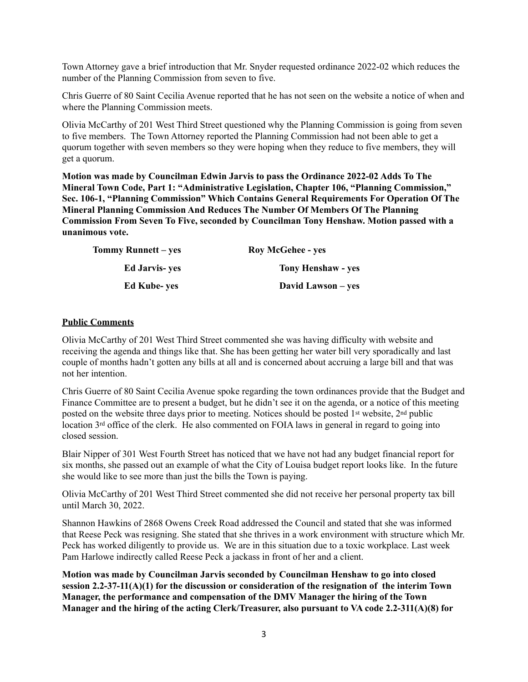Town Attorney gave a brief introduction that Mr. Snyder requested ordinance 2022-02 which reduces the number of the Planning Commission from seven to five.

Chris Guerre of 80 Saint Cecilia Avenue reported that he has not seen on the website a notice of when and where the Planning Commission meets.

Olivia McCarthy of 201 West Third Street questioned why the Planning Commission is going from seven to five members. The Town Attorney reported the Planning Commission had not been able to get a quorum together with seven members so they were hoping when they reduce to five members, they will get a quorum.

**Motion was made by Councilman Edwin Jarvis to pass the Ordinance 2022-02 Adds To The Mineral Town Code, Part 1: "Administrative Legislation, Chapter 106, "Planning Commission," Sec. 106-1, "Planning Commission" Which Contains General Requirements For Operation Of The Mineral Planning Commission And Reduces The Number Of Members Of The Planning Commission From Seven To Five, seconded by Councilman Tony Henshaw. Motion passed with a unanimous vote.** 

| Tommy Runnett – yes   | <b>Roy McGehee - yes</b>  |
|-----------------------|---------------------------|
| <b>Ed Jarvis- ves</b> | <b>Tony Henshaw - yes</b> |
| <b>Ed Kube- ves</b>   | David Lawson – yes        |

## **Public Comments**

Olivia McCarthy of 201 West Third Street commented she was having difficulty with website and receiving the agenda and things like that. She has been getting her water bill very sporadically and last couple of months hadn't gotten any bills at all and is concerned about accruing a large bill and that was not her intention.

Chris Guerre of 80 Saint Cecilia Avenue spoke regarding the town ordinances provide that the Budget and Finance Committee are to present a budget, but he didn't see it on the agenda, or a notice of this meeting posted on the website three days prior to meeting. Notices should be posted 1st website, 2nd public location 3<sup>rd</sup> office of the clerk. He also commented on FOIA laws in general in regard to going into closed session.

Blair Nipper of 301 West Fourth Street has noticed that we have not had any budget financial report for six months, she passed out an example of what the City of Louisa budget report looks like. In the future she would like to see more than just the bills the Town is paying.

Olivia McCarthy of 201 West Third Street commented she did not receive her personal property tax bill until March 30, 2022.

Shannon Hawkins of 2868 Owens Creek Road addressed the Council and stated that she was informed that Reese Peck was resigning. She stated that she thrives in a work environment with structure which Mr. Peck has worked diligently to provide us. We are in this situation due to a toxic workplace. Last week Pam Harlowe indirectly called Reese Peck a jackass in front of her and a client.

**Motion was made by Councilman Jarvis seconded by Councilman Henshaw to go into closed session 2.2-37-11(A)(1) for the discussion or consideration of the resignation of the interim Town Manager, the performance and compensation of the DMV Manager the hiring of the Town Manager and the hiring of the acting Clerk/Treasurer, also pursuant to VA code 2.2-311(A)(8) for**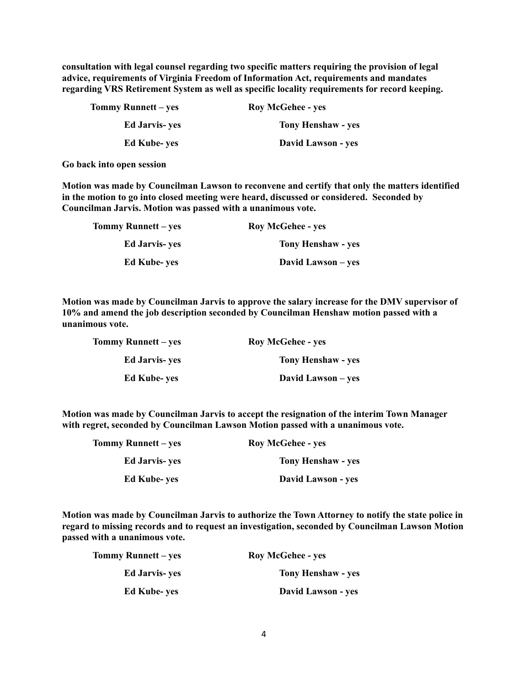**consultation with legal counsel regarding two specific matters requiring the provision of legal advice, requirements of Virginia Freedom of Information Act, requirements and mandates regarding VRS Retirement System as well as specific locality requirements for record keeping.** 

| Tommy Runnett – yes   | <b>Roy McGehee - yes</b>  |
|-----------------------|---------------------------|
| <b>Ed Jarvis- yes</b> | <b>Tony Henshaw - yes</b> |
| <b>Ed Kube-yes</b>    | David Lawson - yes        |

**Go back into open session**

**Motion was made by Councilman Lawson to reconvene and certify that only the matters identified in the motion to go into closed meeting were heard, discussed or considered. Seconded by Councilman Jarvis. Motion was passed with a unanimous vote.** 

| <b>Roy McGehee - yes</b>  | Tommy Runnett – yes   |
|---------------------------|-----------------------|
| <b>Tony Henshaw - yes</b> | <b>Ed Jarvis- yes</b> |
| David Lawson – yes        | <b>Ed Kube-yes</b>    |

**Motion was made by Councilman Jarvis to approve the salary increase for the DMV supervisor of 10% and amend the job description seconded by Councilman Henshaw motion passed with a unanimous vote.** 

| <b>Roy McGehee - yes</b>  | <b>Tommy Runnett</b> – ves |
|---------------------------|----------------------------|
| <b>Tony Henshaw - yes</b> | <b>Ed Jarvis- yes</b>      |
| David Lawson – yes        | <b>Ed Kube- ves</b>        |

**Motion was made by Councilman Jarvis to accept the resignation of the interim Town Manager with regret, seconded by Councilman Lawson Motion passed with a unanimous vote.** 

| Tommy Runnett – yes   | <b>Roy McGehee - yes</b>  |
|-----------------------|---------------------------|
| <b>Ed Jarvis- yes</b> | <b>Tony Henshaw - yes</b> |
| <b>Ed Kube- yes</b>   | David Lawson - yes        |

**Motion was made by Councilman Jarvis to authorize the Town Attorney to notify the state police in regard to missing records and to request an investigation, seconded by Councilman Lawson Motion passed with a unanimous vote.**

| Tommy Runnett – yes   | <b>Roy McGehee - yes</b>  |
|-----------------------|---------------------------|
| <b>Ed Jarvis- yes</b> | <b>Tony Henshaw - yes</b> |
| <b>Ed Kube-yes</b>    | David Lawson - yes        |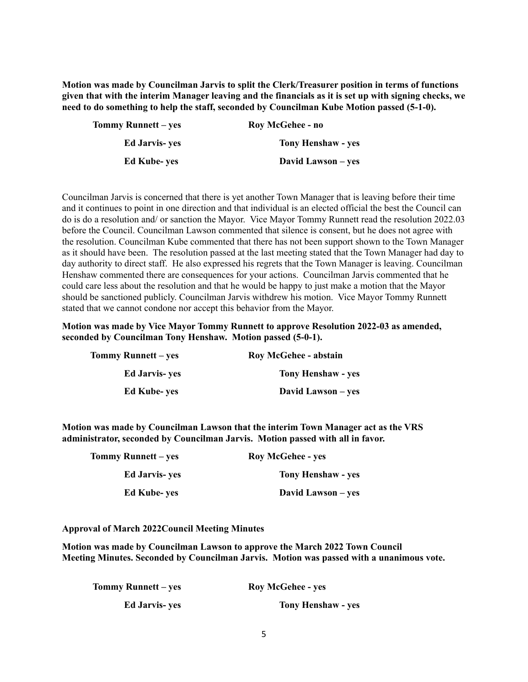**Motion was made by Councilman Jarvis to split the Clerk/Treasurer position in terms of functions given that with the interim Manager leaving and the financials as it is set up with signing checks, we need to do something to help the staff, seconded by Councilman Kube Motion passed (5-1-0).**

| Roy McGehee - no          | Tommy Runnett – yes   |
|---------------------------|-----------------------|
| <b>Tony Henshaw - yes</b> | <b>Ed Jarvis- yes</b> |
| David Lawson – yes        | <b>Ed Kube- ves</b>   |

Councilman Jarvis is concerned that there is yet another Town Manager that is leaving before their time and it continues to point in one direction and that individual is an elected official the best the Council can do is do a resolution and/ or sanction the Mayor. Vice Mayor Tommy Runnett read the resolution 2022.03 before the Council. Councilman Lawson commented that silence is consent, but he does not agree with the resolution. Councilman Kube commented that there has not been support shown to the Town Manager as it should have been. The resolution passed at the last meeting stated that the Town Manager had day to day authority to direct staff. He also expressed his regrets that the Town Manager is leaving. Councilman Henshaw commented there are consequences for your actions. Councilman Jarvis commented that he could care less about the resolution and that he would be happy to just make a motion that the Mayor should be sanctioned publicly. Councilman Jarvis withdrew his motion. Vice Mayor Tommy Runnett stated that we cannot condone nor accept this behavior from the Mayor.

**Motion was made by Vice Mayor Tommy Runnett to approve Resolution 2022-03 as amended, seconded by Councilman Tony Henshaw. Motion passed (5-0-1).** 

| Roy McGehee - abstain | Tommy Runnett – yes   |
|-----------------------|-----------------------|
| Tony Henshaw - yes    | <b>Ed Jarvis- yes</b> |
| David Lawson – yes    | <b>Ed Kube-yes</b>    |

**Motion was made by Councilman Lawson that the interim Town Manager act as the VRS administrator, seconded by Councilman Jarvis. Motion passed with all in favor.**

| <b>Roy McGehee - yes</b>  | Tommy Runnett – yes   |
|---------------------------|-----------------------|
| <b>Tony Henshaw - yes</b> | <b>Ed Jarvis- yes</b> |
| David Lawson – yes        | <b>Ed Kube-yes</b>    |

#### **Approval of March 2022Council Meeting Minutes**

**Motion was made by Councilman Lawson to approve the March 2022 Town Council Meeting Minutes. Seconded by Councilman Jarvis. Motion was passed with a unanimous vote.** 

| <b>Tommy Runnett</b> – yes | <b>Roy McGehee - yes</b>  |
|----------------------------|---------------------------|
| <b>Ed Jarvis- yes</b>      | <b>Tony Henshaw - yes</b> |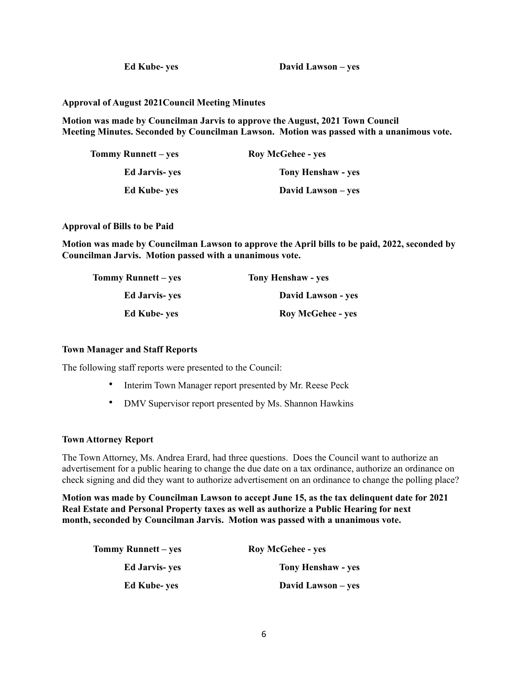**Ed Kube- yes David Lawson – yes**

**Approval of August 2021Council Meeting Minutes**

**Motion was made by Councilman Jarvis to approve the August, 2021 Town Council Meeting Minutes. Seconded by Councilman Lawson. Motion was passed with a unanimous vote.** 

| <b>Tommy Runnett</b> – yes | <b>Roy McGehee - yes</b>  |
|----------------------------|---------------------------|
| <b>Ed Jarvis- ves</b>      | <b>Tony Henshaw - yes</b> |
| <b>Ed Kube-yes</b>         | David Lawson – yes        |

**Approval of Bills to be Paid**

**Motion was made by Councilman Lawson to approve the April bills to be paid, 2022, seconded by Councilman Jarvis. Motion passed with a unanimous vote.**

| <b>Tony Henshaw - yes</b> | Tommy Runnett – yes   |
|---------------------------|-----------------------|
| David Lawson - yes        | <b>Ed Jarvis- ves</b> |
| <b>Roy McGehee - yes</b>  | <b>Ed Kube- ves</b>   |

#### **Town Manager and Staff Reports**

The following staff reports were presented to the Council:

- Interim Town Manager report presented by Mr. Reese Peck
- DMV Supervisor report presented by Ms. Shannon Hawkins

#### **Town Attorney Report**

The Town Attorney, Ms. Andrea Erard, had three questions. Does the Council want to authorize an advertisement for a public hearing to change the due date on a tax ordinance, authorize an ordinance on check signing and did they want to authorize advertisement on an ordinance to change the polling place?

**Motion was made by Councilman Lawson to accept June 15, as the tax delinquent date for 2021 Real Estate and Personal Property taxes as well as authorize a Public Hearing for next month, seconded by Councilman Jarvis. Motion was passed with a unanimous vote.** 

| Tommy Runnett – yes   | <b>Roy McGehee - yes</b>  |
|-----------------------|---------------------------|
| <b>Ed Jarvis- yes</b> | <b>Tony Henshaw - yes</b> |
| <b>Ed Kube-yes</b>    | David Lawson – yes        |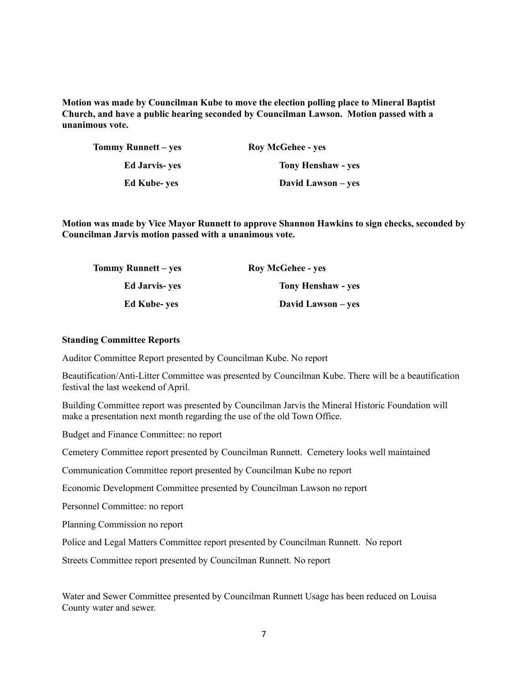**Motion was made by Councilman Kube to move the election polling place to Mineral Baptist Church, and have a public hearing seconded by Councilman Lawson. Motion passed with a unanimous vote.**

| Tommy Runnett – yes   | <b>Roy McGehee - yes</b>  |
|-----------------------|---------------------------|
| <b>Ed Jarvis- yes</b> | <b>Tony Henshaw - yes</b> |
| <b>Ed Kube-yes</b>    | David Lawson – yes        |

**Motion was made by Vice Mayor Runnett to approve Shannon Hawkins to sign checks, seconded by Councilman Jarvis motion passed with a unanimous vote.**

| Tommy Runnett – yes   | <b>Roy McGehee - yes</b>  |
|-----------------------|---------------------------|
| <b>Ed Jarvis- ves</b> | <b>Tony Henshaw - yes</b> |
| <b>Ed Kube-yes</b>    | David Lawson – yes        |

#### **Standing Committee Reports**

Auditor Committee Report presented by Councilman Kube. No report

Beautification/Anti-Litter Committee was presented by Councilman Kube. There will be a beautification festival the last weekend of April.

Building Committee report was presented by Councilman Jarvis the Mineral Historic Foundation will make a presentation next month regarding the use of the old Town Office.

Budget and Finance Committee: no report

Cemetery Committee report presented by Councilman Runnett. Cemetery looks well maintained

Communication Committee report presented by Councilman Kube no report

Economic Development Committee presented by Councilman Lawson no report

Personnel Committee: no report

Planning Commission no report

Police and Legal Matters Committee report presented by Councilman Runnett. No report

Streets Committee report presented by Councilman Runnett. No report

Water and Sewer Committee presented by Councilman Runnett Usage has been reduced on Louisa County water and sewer.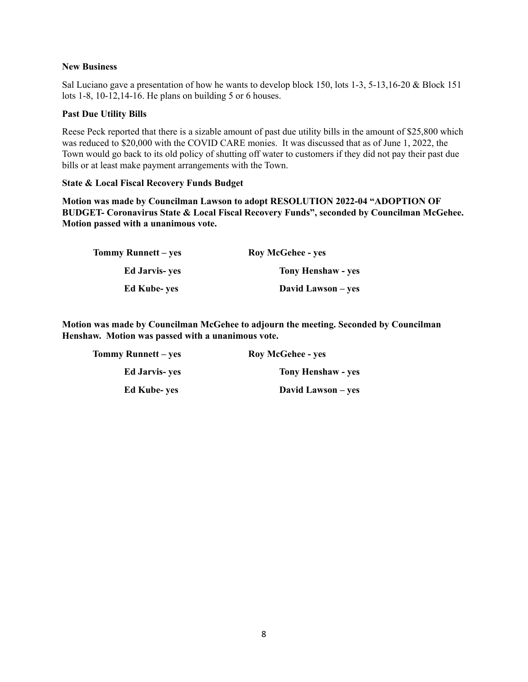## **New Business**

Sal Luciano gave a presentation of how he wants to develop block 150, lots 1-3, 5-13,16-20 & Block 151 lots 1-8, 10-12,14-16. He plans on building 5 or 6 houses.

### **Past Due Utility Bills**

Reese Peck reported that there is a sizable amount of past due utility bills in the amount of \$25,800 which was reduced to \$20,000 with the COVID CARE monies. It was discussed that as of June 1, 2022, the Town would go back to its old policy of shutting off water to customers if they did not pay their past due bills or at least make payment arrangements with the Town.

#### **State & Local Fiscal Recovery Funds Budget**

**Motion was made by Councilman Lawson to adopt RESOLUTION 2022-04 "ADOPTION OF BUDGET- Coronavirus State & Local Fiscal Recovery Funds", seconded by Councilman McGehee. Motion passed with a unanimous vote.**

| Tommy Runnett – yes   | <b>Roy McGehee - yes</b>  |
|-----------------------|---------------------------|
| <b>Ed Jarvis- yes</b> | <b>Tony Henshaw - yes</b> |
| <b>Ed Kube-yes</b>    | David Lawson – yes        |

**Motion was made by Councilman McGehee to adjourn the meeting. Seconded by Councilman Henshaw. Motion was passed with a unanimous vote.** 

| <b>Roy McGehee - yes</b>  | <b>Tommy Runnett</b> – yes |
|---------------------------|----------------------------|
| <b>Tony Henshaw - yes</b> | <b>Ed Jarvis- yes</b>      |
| David Lawson – yes        | <b>Ed Kube-yes</b>         |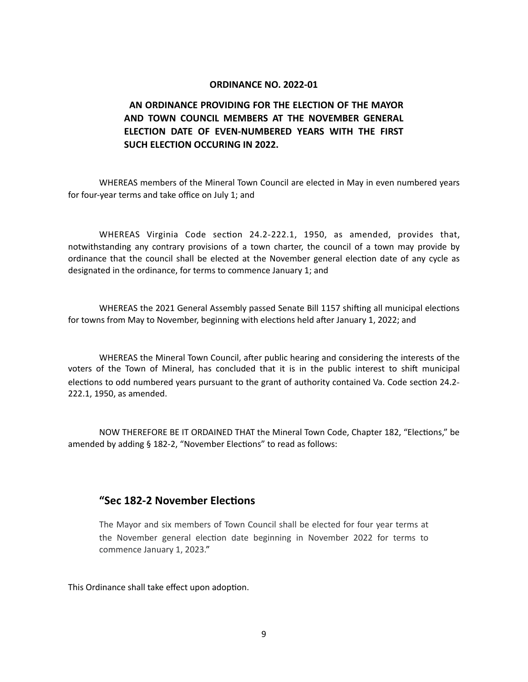#### **ORDINANCE NO. 2022-01**

## **AN ORDINANCE PROVIDING FOR THE ELECTION OF THE MAYOR AND TOWN COUNCIL MEMBERS AT THE NOVEMBER GENERAL ELECTION DATE OF EVEN-NUMBERED YEARS WITH THE FIRST SUCH ELECTION OCCURING IN 2022.**

WHEREAS members of the Mineral Town Council are elected in May in even numbered years for four-year terms and take office on July 1; and

WHEREAS Virginia Code section 24.2-222.1, 1950, as amended, provides that, notwithstanding any contrary provisions of a town charter, the council of a town may provide by ordinance that the council shall be elected at the November general election date of any cycle as designated in the ordinance, for terms to commence January 1; and

WHEREAS the 2021 General Assembly passed Senate Bill 1157 shifting all municipal elections for towns from May to November, beginning with elections held after January 1, 2022; and

WHEREAS the Mineral Town Council, after public hearing and considering the interests of the voters of the Town of Mineral, has concluded that it is in the public interest to shift municipal elections to odd numbered years pursuant to the grant of authority contained Va. Code section 24.2- 222.1, 1950, as amended.

NOW THEREFORE BE IT ORDAINED THAT the Mineral Town Code, Chapter 182, "Elections," be amended by adding § 182-2, "November Elections" to read as follows:

## **"Sec 182-2 November Elections**

The Mayor and six members of Town Council shall be elected for four year terms at the November general election date beginning in November 2022 for terms to commence January 1, 2023."

This Ordinance shall take effect upon adoption.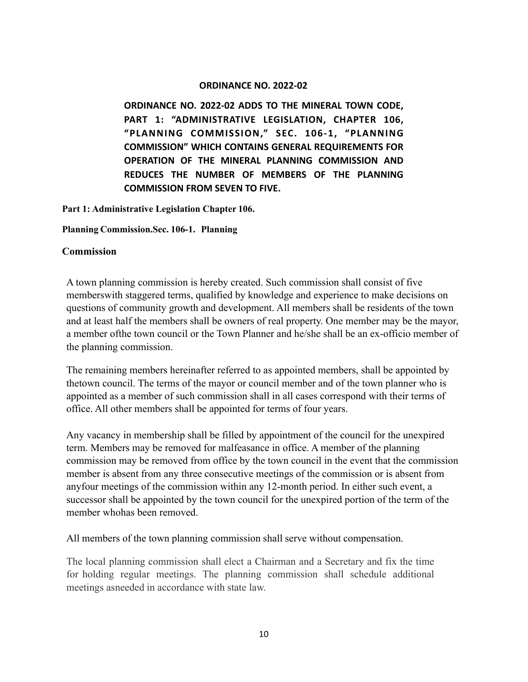## **ORDINANCE NO. 2022-02**

**ORDINANCE NO. 2022-02 ADDS TO THE MINERAL TOWN CODE, PART 1: "ADMINISTRATIVE LEGISLATION, CHAPTER 106, "PLANNING COMMISSION," SEC. 106-1, "PLANNING COMMISSION" WHICH CONTAINS GENERAL REQUIREMENTS FOR OPERATION OF THE MINERAL PLANNING COMMISSION AND REDUCES THE NUMBER OF MEMBERS OF THE PLANNING COMMISSION FROM SEVEN TO FIVE.**

**Part 1: Administrative Legislation Chapter 106.**

## **Planning Commission.Sec. 106-1. Planning**

## **Commission**

A town planning commission is hereby created. Such commission shall consist of five memberswith staggered terms, qualified by knowledge and experience to make decisions on questions of community growth and development. All members shall be residents of the town and at least half the members shall be owners of real property. One member may be the mayor, a member ofthe town council or the Town Planner and he/she shall be an ex-officio member of the planning commission.

The remaining members hereinafter referred to as appointed members, shall be appointed by thetown council. The terms of the mayor or council member and of the town planner who is appointed as a member of such commission shall in all cases correspond with their terms of office. All other members shall be appointed for terms of four years.

Any vacancy in membership shall be filled by appointment of the council for the unexpired term. Members may be removed for malfeasance in office. A member of the planning commission may be removed from office by the town council in the event that the commission member is absent from any three consecutive meetings of the commission or is absent from anyfour meetings of the commission within any 12-month period. In either such event, a successor shall be appointed by the town council for the unexpired portion of the term of the member whohas been removed.

All members of the town planning commission shall serve without compensation.

The local planning commission shall elect a Chairman and a Secretary and fix the time for holding regular meetings. The planning commission shall schedule additional meetings asneeded in accordance with state law.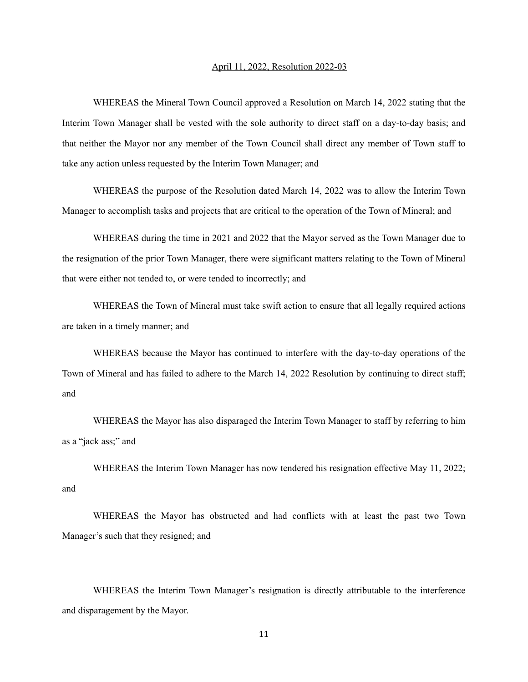#### April 11, 2022, Resolution 2022-03

WHEREAS the Mineral Town Council approved a Resolution on March 14, 2022 stating that the Interim Town Manager shall be vested with the sole authority to direct staff on a day-to-day basis; and that neither the Mayor nor any member of the Town Council shall direct any member of Town staff to take any action unless requested by the Interim Town Manager; and

WHEREAS the purpose of the Resolution dated March 14, 2022 was to allow the Interim Town Manager to accomplish tasks and projects that are critical to the operation of the Town of Mineral; and

WHEREAS during the time in 2021 and 2022 that the Mayor served as the Town Manager due to the resignation of the prior Town Manager, there were significant matters relating to the Town of Mineral that were either not tended to, or were tended to incorrectly; and

WHEREAS the Town of Mineral must take swift action to ensure that all legally required actions are taken in a timely manner; and

WHEREAS because the Mayor has continued to interfere with the day-to-day operations of the Town of Mineral and has failed to adhere to the March 14, 2022 Resolution by continuing to direct staff; and

WHEREAS the Mayor has also disparaged the Interim Town Manager to staff by referring to him as a "jack ass;" and

WHEREAS the Interim Town Manager has now tendered his resignation effective May 11, 2022; and

WHEREAS the Mayor has obstructed and had conflicts with at least the past two Town Manager's such that they resigned; and

WHEREAS the Interim Town Manager's resignation is directly attributable to the interference and disparagement by the Mayor.

11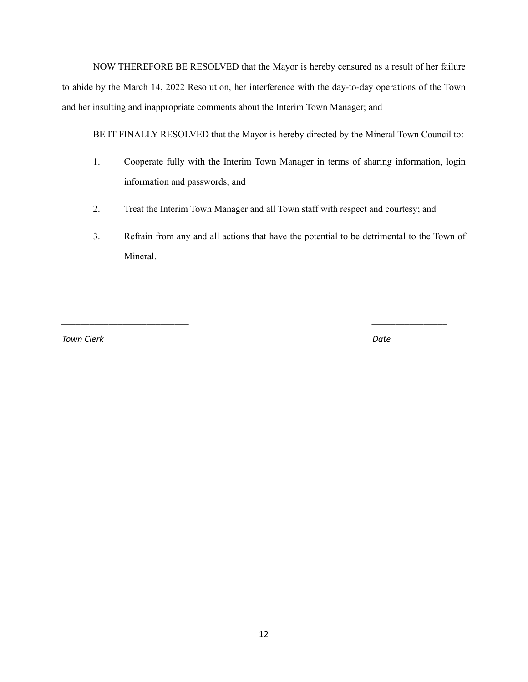NOW THEREFORE BE RESOLVED that the Mayor is hereby censured as a result of her failure to abide by the March 14, 2022 Resolution, her interference with the day-to-day operations of the Town and her insulting and inappropriate comments about the Interim Town Manager; and

BE IT FINALLY RESOLVED that the Mayor is hereby directed by the Mineral Town Council to:

- 1. Cooperate fully with the Interim Town Manager in terms of sharing information, login information and passwords; and
- 2. Treat the Interim Town Manager and all Town staff with respect and courtesy; and

*\_\_\_\_\_\_\_\_\_\_\_\_\_\_\_\_\_\_\_\_\_\_\_\_\_\_\_ \_\_\_\_\_\_\_\_\_\_\_\_\_\_\_\_*

3. Refrain from any and all actions that have the potential to be detrimental to the Town of Mineral.

*Town Clerk Date*